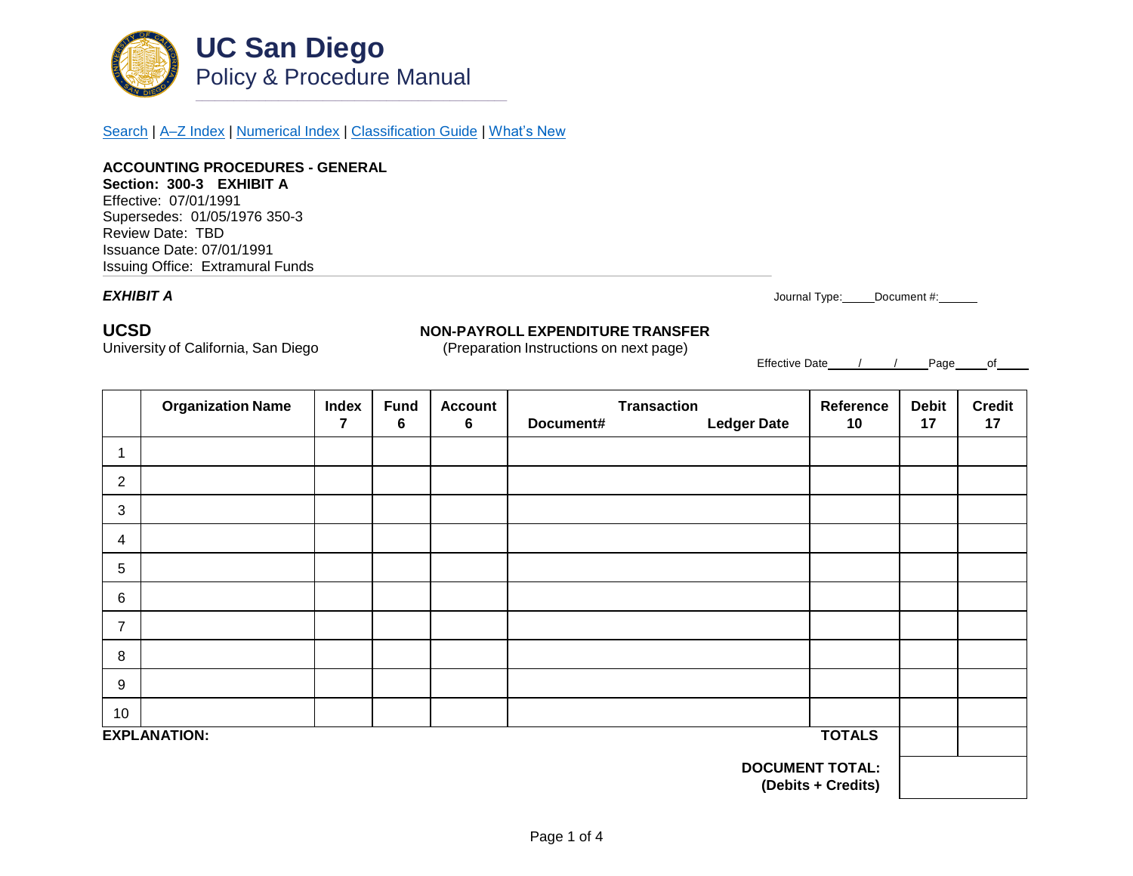

[Search](http://adminrecords.ucsd.edu/ppm/index.html) | [A–Z Index](http://adminrecords.ucsd.edu/ppm/ppmindex.html) | [Numerical Index](http://adminrecords.ucsd.edu/ppm/numerical.html) | [Classification Guide](http://adminrecords.ucsd.edu/ppm/alphabetical.html) | [What's New](http://adminrecords.ucsd.edu/ppm/whatsnew.html)

**ACCOUNTING PROCEDURES - GENERAL Section: 300-3 EXHIBIT A** Effective: 07/01/1991 Supersedes: 01/05/1976 350-3 Review Date: TBD Issuance Date: 07/01/1991 Issuing Office:Extramural Funds

*EXHIBIT A* Journal Type: Document #:

# **UCSD NON-PAYROLL EXPENDITURE TRANSFER**

University of California, San Diego (Preparation Instructions on next page)

Effective Date / / Page of

|                                              | <b>Organization Name</b> | <b>Index</b>            | <b>Fund</b> | <b>Account</b>  | <b>Transaction</b> |                    | Reference | <b>Debit</b> | <b>Credit</b> |
|----------------------------------------------|--------------------------|-------------------------|-------------|-----------------|--------------------|--------------------|-----------|--------------|---------------|
|                                              |                          | $\overline{\mathbf{r}}$ | 6           | $6\phantom{1}6$ | Document#          | <b>Ledger Date</b> | 10        | 17           | 17            |
| 1                                            |                          |                         |             |                 |                    |                    |           |              |               |
| $\overline{2}$                               |                          |                         |             |                 |                    |                    |           |              |               |
| 3                                            |                          |                         |             |                 |                    |                    |           |              |               |
| 4                                            |                          |                         |             |                 |                    |                    |           |              |               |
| 5                                            |                          |                         |             |                 |                    |                    |           |              |               |
| $6\phantom{1}6$                              |                          |                         |             |                 |                    |                    |           |              |               |
| $\overline{7}$                               |                          |                         |             |                 |                    |                    |           |              |               |
| 8                                            |                          |                         |             |                 |                    |                    |           |              |               |
| 9                                            |                          |                         |             |                 |                    |                    |           |              |               |
| 10                                           |                          |                         |             |                 |                    |                    |           |              |               |
| <b>TOTALS</b><br><b>EXPLANATION:</b>         |                          |                         |             |                 |                    |                    |           |              |               |
| <b>DOCUMENT TOTAL:</b><br>(Debits + Credits) |                          |                         |             |                 |                    |                    |           |              |               |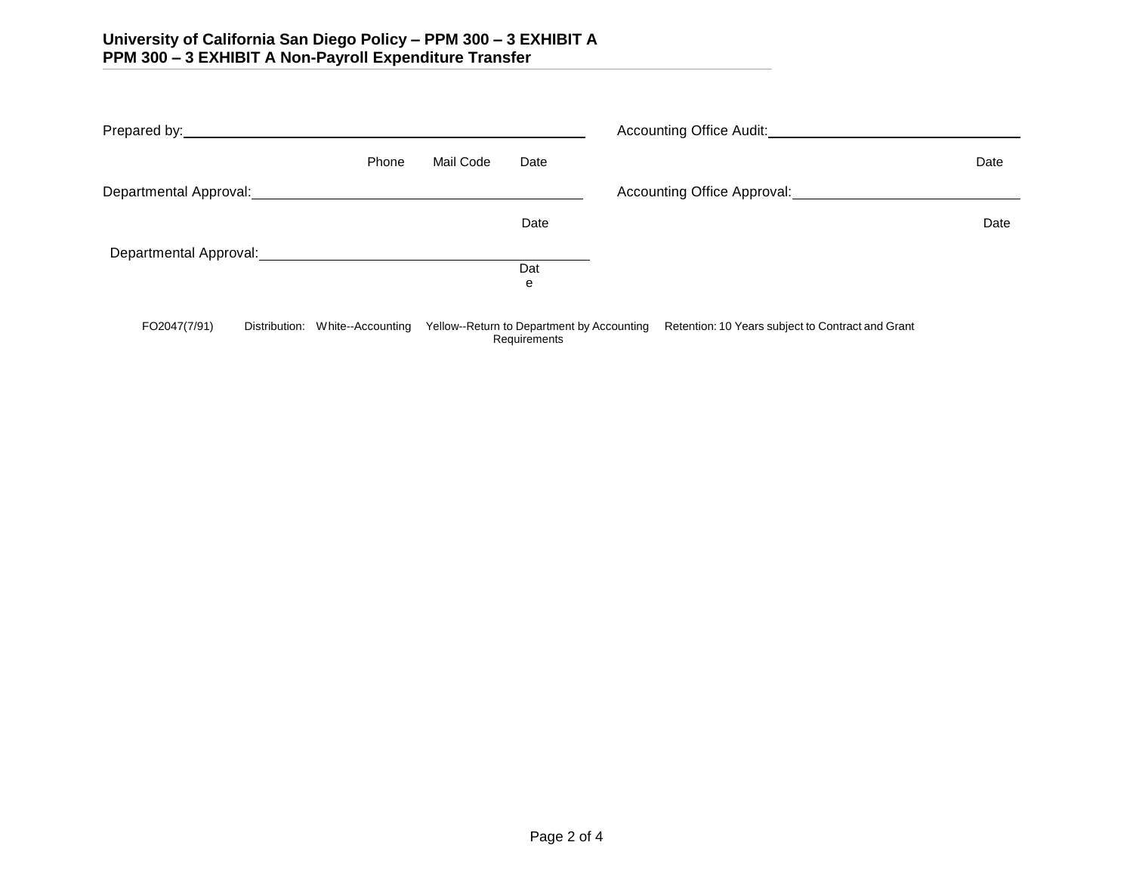|                                                                                                                                                                                                                                        |               |                   |           | Accounting Office Audit:                                   |  |                                                   |      |
|----------------------------------------------------------------------------------------------------------------------------------------------------------------------------------------------------------------------------------------|---------------|-------------------|-----------|------------------------------------------------------------|--|---------------------------------------------------|------|
|                                                                                                                                                                                                                                        |               | Phone             | Mail Code | Date                                                       |  |                                                   | Date |
| Departmental Approval: <u>contact and a series of the series of the series of the series of the series of the series of the series of the series of the series of the series of the series of the series of the series of the se</u>   |               |                   |           |                                                            |  | Accounting Office Approval:                       |      |
|                                                                                                                                                                                                                                        |               |                   |           | Date                                                       |  |                                                   | Date |
| Departmental Approval:<br><u> Letter and the contract of the contract of the contract of the contract of the contract of the contract of the contract of the contract of the contract of the contract of the contract of the contr</u> |               |                   |           |                                                            |  |                                                   |      |
|                                                                                                                                                                                                                                        |               |                   |           | Dat                                                        |  |                                                   |      |
|                                                                                                                                                                                                                                        |               |                   |           | e                                                          |  |                                                   |      |
| FO2047(7/91)                                                                                                                                                                                                                           | Distribution: | White--Accounting |           | Yellow--Return to Department by Accounting<br>Requirements |  | Retention: 10 Years subject to Contract and Grant |      |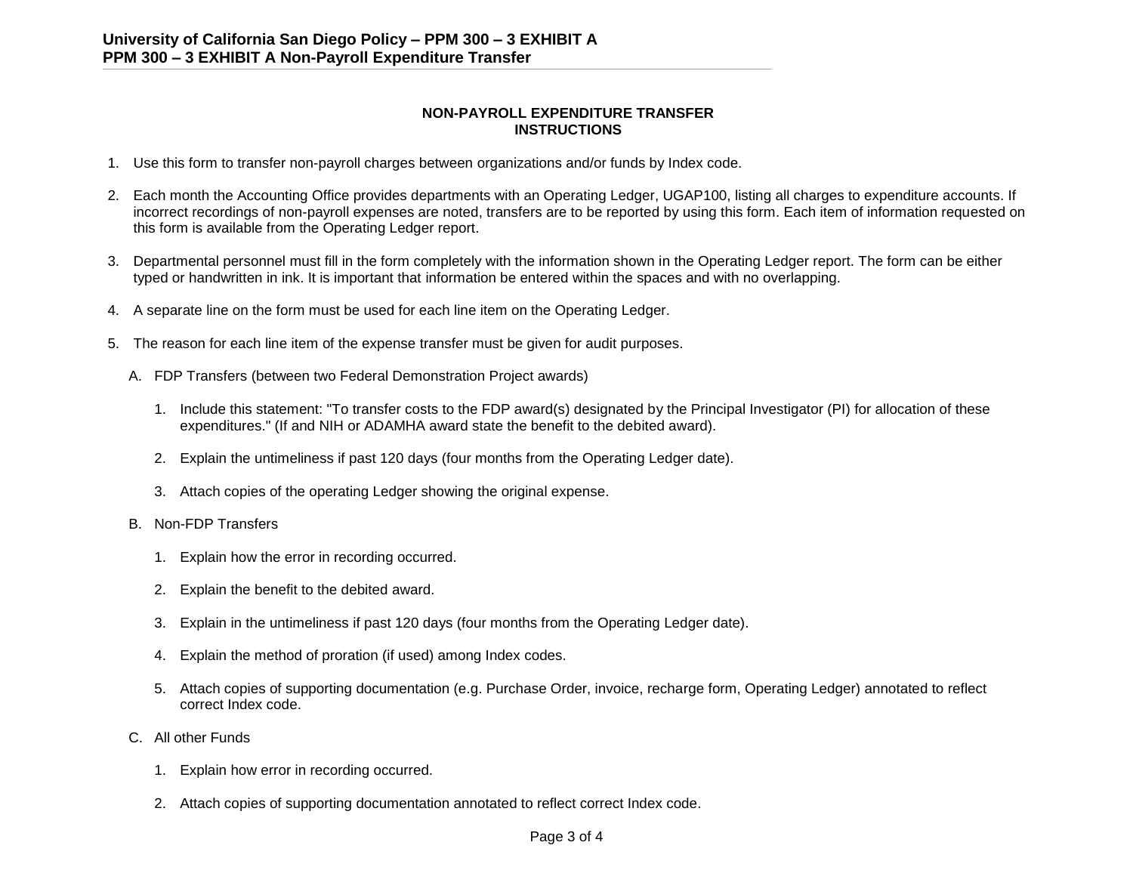## **NON-PAYROLL EXPENDITURE TRANSFER INSTRUCTIONS**

- 1. Use this form to transfer non-payroll charges between organizations and/or funds by Index code.
- 2. Each month the Accounting Office provides departments with an Operating Ledger, UGAP100, listing all charges to expenditure accounts. If incorrect recordings of non-payroll expenses are noted, transfers are to be reported by using this form. Each item of information requested on this form is available from the Operating Ledger report.
- 3. Departmental personnel must fill in the form completely with the information shown in the Operating Ledger report. The form can be either typed or handwritten in ink. It is important that information be entered within the spaces and with no overlapping.
- 4. A separate line on the form must be used for each line item on the Operating Ledger.
- 5. The reason for each line item of the expense transfer must be given for audit purposes.
	- A. FDP Transfers (between two Federal Demonstration Project awards)
		- 1. Include this statement: "To transfer costs to the FDP award(s) designated by the Principal Investigator (PI) for allocation of these expenditures." (If and NIH or ADAMHA award state the benefit to the debited award).
		- 2. Explain the untimeliness if past 120 days (four months from the Operating Ledger date).
		- 3. Attach copies of the operating Ledger showing the original expense.
	- B. Non-FDP Transfers
		- 1. Explain how the error in recording occurred.
		- 2. Explain the benefit to the debited award.
		- 3. Explain in the untimeliness if past 120 days (four months from the Operating Ledger date).
		- 4. Explain the method of proration (if used) among Index codes.
		- 5. Attach copies of supporting documentation (e.g. Purchase Order, invoice, recharge form, Operating Ledger) annotated to reflect correct Index code.
	- C. All other Funds
		- 1. Explain how error in recording occurred.
		- 2. Attach copies of supporting documentation annotated to reflect correct Index code.

### Page 3 of 4